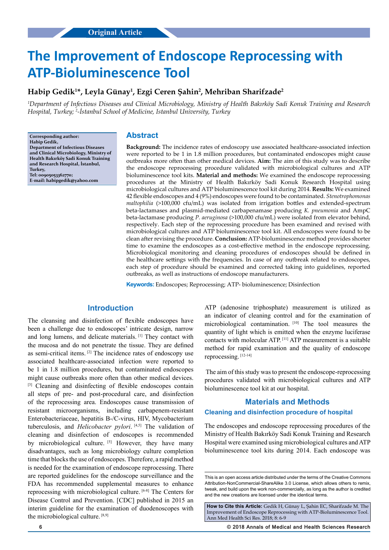# **The Improvement of Endoscope Reprocessing with ATP-Bioluminescence Tool**

# **Habip Gedik1 \*, Leyla Günay1 , Ezgi Ceren Şahin<sup>2</sup> , Mehriban Sharifzade<sup>2</sup>**

*1 Department of Infectious Diseases and Clinical Microbiology, Ministry of Health Bakırköy Sadi Konuk Training and Research Hospital, Turkey; <sup>2</sup> -İstanbul School of Medicine, Istanbul University, Turkey*

**Corresponding author: Habip Gedik, Department of Infectious Diseases and Clinical Microbiology, Ministry of Health Bakırköy Sadi Konuk Training and Research Hospital, İstanbul, Turkey, Tel: 00905053362770; E-mail: habipgedik@yahoo.com**

### **Abstract**

**Background:** The incidence rates of endoscopy use associated healthcare-associated infection were reported to be 1 in 1.8 million procedures, but contaminated endoscopes might cause outbreaks more often than other medical devices. **Aim:** The aim of this study was to describe the endoscope reprocessing procedure validated with microbiological cultures and ATP bioluminescence tool kits. **Material and methods:** We examined the endoscope reprocessing procedures at the Ministry of Health Bakırköy Sadi Konuk Research Hospital using microbiological cultures and ATP bioluminescence tool kit during 2014. **Results:** We examined 42 flexible endoscopes and 4 (9%) endoscopes were found to be contaminated. *Stenotrophomonas maltophilia* (>100,000 cfu/mL) was isolated from irrigation bottles and extended-spectrum beta-lactamases and plasmid-mediated carbapenamase producing *K. pneumonia* and AmpC beta-lactamase producing *P. aeruginosa* (>100,000 cfu/mL) were isolated from elevator behind, respectively. Each step of the reprocessing procedure has been examined and revised with microbiological cultures and ATP bioluminescence tool kit. All endoscopes were found to be clean after revising the procedure. **Conclusion:** ATP-bioluminescence method provides shorter time to examine the endoscopes as a cost-effective method in the endoscope reprocessing. Microbiological monitoring and cleaning procedures of endoscopes should be defined in the healthcare settings with the frequencies. In case of any outbreak related to endoscopes, each step of procedure should be examined and corrected taking into guidelines, reported outbreaks, as well as instructions of endoscope manufacturers.

**Keywords:** Endoscopes; Reprocessing; ATP- bioluminescence; Disinfection

# **Introduction**

The cleansing and disinfection of flexible endoscopes have been a challenge due to endoscopes' intricate design, narrow and long lumens, and delicate materials. [1] They contact with the mucosa and do not penetrate the tissue. They are defined as semi-critical items. [2] The incidence rates of endoscopy use associated healthcare-associated infection were reported to be 1 in 1.8 million procedures, but contaminated endoscopes might cause outbreaks more often than other medical devices. <sup>[3]</sup> Cleaning and disinfecting of flexible endoscopes contain all steps of pre- and post-procedural care, and disinfection of the reprocessing area. Endoscopes cause transmission of resistant microorganisms, including carbapenem-resistant Enterobacteriaceae, hepatitis B-/C-virus, HIV, Mycobacterium tuberculosis, and *Helicobacter pylori*. [4,5] The validation of cleaning and disinfection of endoscopes is recommended by microbiological culture. [5] However, they have many disadvantages, such as long microbiology culture completion time that blocks the use of endoscopes. Therefore, a rapid method is needed for the examination of endoscope reprocessing. There are reported guidelines for the endoscope surveillance and the FDA has recommended supplemental measures to enhance reprocessing with microbiological culture. [6-8] The Centers for Disease Control and Prevention. [CDC] published in 2015 an interim guideline for the examination of duodenoscopes with the microbiological culture. [8,9]

ATP (adenosine triphosphate) measurement is utilized as an indicator of cleaning control and for the examination of microbiological contamination. [10] The tool measures the quantity of light which is emitted when the enzyme luciferase contacts with molecular ATP. [11] ATP measurement is a suitable method for rapid examination and the quality of endoscope reprocessing. [12-14]

 The aim of this study was to present the endoscope-reprocessing procedures validated with microbiological cultures and ATP bioluminescence tool kit at our hospital.

## **Materials and Methods**

#### **Cleaning and disinfection procedure of hospital**

The endoscopes and endoscope reprocessing procedures of the Ministry of Health Bakırköy Sadi Konuk Training and Research Hospital were examined using microbiological cultures and ATP bioluminescence tool kits during 2014. Each endoscope was

**How to Cite this Article:** Gedik H, Günay L, Şahin EC, Sharifzade M. The Improvement of Endoscope Reprocessing with ATP-Bioluminescence Tool. Ann Med Health Sci Res. 2018; 8: 6-9

**6 © 2018 Annals of Medical and Health Sciences Research** 

This is an open access article distributed under the terms of the Creative Commons Attribution-NonCommercial-ShareAlike 3.0 License, which allows others to remix, tweak, and build upon the work non‑commercially, as long as the author is credited and the new creations are licensed under the identical terms.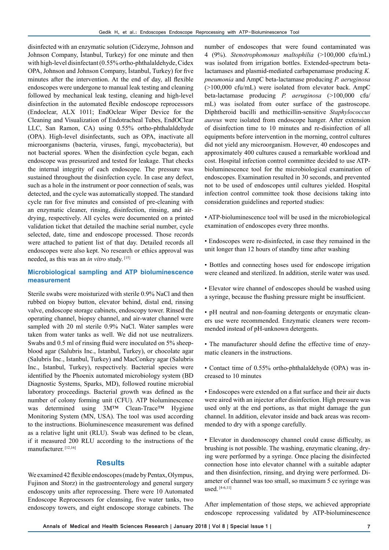disinfected with an enzymatic solution (Cidezyme, Johnson and Johnson Company, İstanbul, Turkey) for one minute and then with high-level disinfectant (0.55% ortho-phthalaldehyde, Cidex OPA, Johnson and Johnson Company, İstanbul, Turkey) for five minutes after the intervention. At the end of day, all flexible endoscopes were undergone to manual leak testing and cleaning followed by mechanical leak testing, cleaning and high-level disinfection in the automated flexible endoscope reprocessors (Endoclear, ALX 1011; EndOclear Wiper Device for the Cleaning and Visualization of Endotracheal Tubes, EndOClear LLC, San Ramon, CA) using 0.55% ortho-phthalaldehyde (OPA). High-level disinfectants, such as OPA, inactivate all microorganisms (bacteria, viruses, fungi, mycobacteria), but not bacterial spores. When the disinfection cycle began, each endoscope was pressurized and tested for leakage. That checks the internal integrity of each endoscope. The pressure was sustained throughout the disinfection cycle. In case any defect, such as a hole in the instrument or poor connection of seals, was detected, and the cycle was automatically stopped. The standard cycle ran for five minutes and consisted of pre-cleaning with an enzymatic cleaner, rinsing, disinfection, rinsing, and airdrying, respectively. All cycles were documented on a printed validation ticket that detailed the machine serial number, cycle selected, date, time and endoscope processed. Those records were attached to patient list of that day. Detailed records all endoscopes were also kept. No research or ethics approval was needed, as this was an *in vitro* study. [15]

## **Microbiological sampling and ATP bioluminescence measurement**

Sterile swabs were moisturized with sterile 0.9% NaCl and then rubbed on biopsy button, elevator behind, distal end, rinsing valve, endoscope storage cabinets, endoscopy tower. Rinsed the operating channel, biopsy channel, and air-water channel were sampled with 20 ml sterile 0.9% NaCl. Water samples were taken from water tanks as well. We did not use neutralizers. Swabs and 0.5 ml of rinsing fluid were inoculated on 5% sheepblood agar (Salubris Inc., Istanbul, Turkey), or chocolate agar (Salubris Inc., Istanbul, Turkey) and MacConkey agar (Salubris Inc., Istanbul, Turkey), respectively. Bacterial species were identified by the Phoenix automated microbiology system (BD Diagnostic Systems, Sparks, MD), followed routine microbial laboratory proceedings. Bacterial growth was defined as the number of colony forming unit (CFU). ATP bioluminescence was determined using 3M™ Clean-Trace™ Hygiene Monitoring System (MN, USA). The tool was used according to the instructions. Bioluminescence measurement was defined as a relative light unit (RLU). Swab was defined to be clean, if it measured 200 RLU according to the instructions of the manufacturer.<sup>[12,16]</sup>

# **Results**

We examined 42 flexible endoscopes (made by Pentax, Olympus, Fujinon and Storz) in the gastroenterology and general surgery endoscopy units after reprocessing. There were 10 Automated Endoscope Reprocessors for cleansing, five water tanks, two endoscopy towers, and eight endoscope storage cabinets. The

number of endoscopes that were found contaminated was 4 (9%). *Stenotrophomonas maltophilia* (>100,000 cfu/mL) was isolated from irrigation bottles. Extended-spectrum betalactamases and plasmid-mediated carbapenamase producing *K. pneumonia* and AmpC beta-lactamase producing *P. aeruginosa*  (>100,000 cfu/mL) were isolated from elevator back. AmpC beta-lactamase producing *P. aeruginosa* (>100,000 cfu/ mL) was isolated from outer surface of the gastroscope. Diphtheroid bacilli and methicillin-sensitive *Staphylococcus aureus* were isolated from endoscope hanger. After extension of disinfection time to 10 minutes and re-disinfection of all equipments before intervention in the morning, control cultures did not yield any microorganism. However, 40 endoscopes and approximately 400 cultures caused a remarkable workload and cost. Hospital infection control committee decided to use ATPbioluminescence tool for the microbiological examination of endoscopes. Examination resulted in 30 seconds, and prevented not to be used of endoscopes until cultures yielded. Hospital infection control committee took those decisions taking into consideration guidelines and reported studies:

- ATP-bioluminescence tool will be used in the microbiological examination of endoscopes every three months.
- Endoscopes were re-disinfected, in case they remained in the unit longer than 12 hours of standby time after washing
- Bottles and connecting hoses used for endoscope irrigation were cleaned and sterilized. In addition, sterile water was used.
- Elevator wire channel of endoscopes should be washed using a syringe, because the flushing pressure might be insufficient.
- pH neutral and non-foaming detergents or enzymatic cleaners use were recommended. Enzymatic cleaners were recommended instead of pH-unknown detergents.
- The manufacturer should define the effective time of enzymatic cleaners in the instructions.
- Contact time of 0.55% ortho-phthalaldehyde (OPA) was increased to 10 minutes
- Endoscopes were extended on a flat surface and their air ducts were aired with an injector after disinfection. High pressure was used only at the end portions, as that might damage the gun channel. In addition, elevator inside and back areas was recommended to dry with a sponge carefully.
- Elevator in duodenoscopy channel could cause difficulty, as brushing is not possible. The washing, enzymatic cleaning, drying were performed by a syringe. Once placing the disinfected connection hose into elevator channel with a suitable adapter and then disinfection, rinsing, and drying were performed. Diameter of channel was too small, so maximum 5 cc syringe was used. [4-6,11]

After implementation of those steps, we achieved appropriate endoscope reprocessing validated by ATP-bioluminescence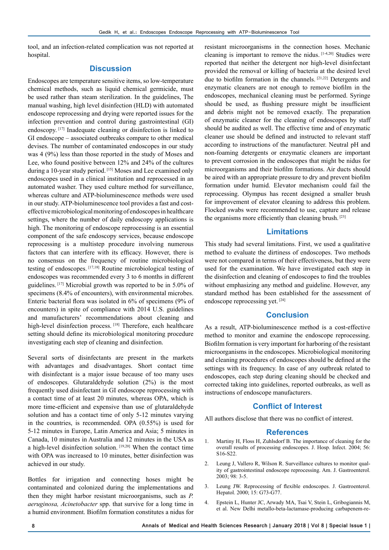tool, and an infection-related complication was not reported at hospital.

## **Discussion**

Endoscopes are temperature sensitive items, so low-temperature chemical methods, such as liquid chemical germicide, must be used rather than steam sterilization. In the guidelines, The manual washing, high level disinfection (HLD) with automated endoscope reprocessing and drying were reported issues for the infection prevention and control during gastrointestinal (GI) endoscopy. [17] Inadequate cleaning or disinfection is linked to GI endoscope – associated outbreaks compare to other medical devises. The number of contaminated endoscopes in our study was 4 (9%) less than those reported in the study of Moses and Lee, who found positive between 12% and 24% of the cultures during a 10-year study period. [15] Moses and Lee examined only endoscopes used in a clinical institution and reprocessed in an automated washer. They used culture method for surveillance, whereas culture and ATP-bioluminescence methods were used in our study. ATP-bioluminescence tool provides a fast and costeffective microbiological monitoring of endoscopes in healthcare settings, where the number of daily endoscopy applications is high. The monitoring of endoscope reprocessing is an essential component of the safe endoscopy services, because endoscope reprocessing is a multistep procedure involving numerous factors that can interfere with its efficacy. However, there is no consensus on the frequency of routine microbiological testing of endoscopes. [17,18] Routine microbiological testing of endoscopes was recommended every 3 to 6 months in different guidelines. [17] Microbial growth was reported to be in 5.0% of specimens (8.4% of encounters), with environmental microbes. Enteric bacterial flora was isolated in 6% of specimens (9% of encounters) in spite of compliance with 2014 U.S. guidelines and manufacturers' recommendations about cleaning and high-level disinfection process. [18] Therefore, each healthcare setting should define its microbiological monitoring procedure investigating each step of cleaning and disinfection.

Several sorts of disinfectants are present in the markets with advantages and disadvantages. Short contact time with disinfectant is a major issue because of too many uses of endoscopes. Glutaraldehyde solution (2%) is the most frequently used disinfectant in GI endoscope reprocessing with a contact time of at least 20 minutes, whereas OPA, which is more time-efficient and expensive than use of glutaraldehyde solution and has a contact time of only 5-12 minutes varying in the countries, is recommended. OPA (0.55%) is used for 5-12 minutes in Europe, Latin America and Asia; 5 minutes in Canada, 10 minutes in Australia and 12 minutes in the USA as a high-level disinfection solution. [19,20] When the contact time with OPA was increased to 10 minutes, better disinfection was achieved in our study.

Bottles for irrigation and connecting hoses might be contaminated and colonized during the implementations and then they might harbor resistant microorganisms, such as *P. aeruginosa, Acinetobacter* spp. that survive for a long time in a humid environment. Biofilm formation constitutes a nidus for resistant microorganisms in the connection hoses. Mechanic cleaning is important to remove the nidus. [1-4,20] Studies were reported that neither the detergent nor high-level disinfectant provided the removal or killing of bacteria at the desired level due to biofilm formation in the channels. [21,22] Detergents and enzymatic cleaners are not enough to remove biofilm in the endoscopes, mechanical cleaning must be performed. Syringe should be used, as flushing pressure might be insufficient and debris might not be removed exactly. The preparation of enzymatic cleaner for the cleaning of endoscopes by staff should be audited as well. The effective time and of enzymatic cleaner use should be defined and instructed to relevant staff according to instructions of the manufacturer. Neutral pH and non-foaming detergents or enzymatic cleaners are important to prevent corrosion in the endoscopes that might be nidus for microorganisms and their biofilm formations. Air ducts should be aired with an appropriate pressure to dry and prevent biofilm formation under humid. Elevator mechanism could fail the reprocessing. Olympus has recent designed a smaller brush for improvement of elevator cleaning to address this problem. Flocked swabs were recommended to use, capture and release the organisms more efficiently than cleaning brush. [23]

## **Limitations**

This study had several limitations. First, we used a qualitative method to evaluate the dirtiness of endoscopes. Two methods were not compared in terms of their effectiveness, but they were used for the examination. We have investigated each step in the disinfection and cleaning of endoscopes to find the troubles without emphasizing any method and guideline. However, any standard method has been established for the assessment of endoscope reprocessing yet. [24]

# **Conclusion**

As a result, ATP-bioluminescence method is a cost-effective method to monitor and examine the endoscope reprocessing. Biofilm formation is very important for harboring of the resistant microorganisms in the endoscopes. Microbiological monitoring and cleaning procedures of endoscopes should be defined at the settings with its frequency. In case of any outbreak related to endoscopes, each step during cleaning should be checked and corrected taking into guidelines, reported outbreaks, as well as instructions of endoscope manufacturers.

### **Conflict of Interest**

All authors disclose that there was no conflict of interest.

## **References**

- 1. Martiny H, Floss H, Zuhlsdorf B. The importance of cleaning for the overall results of processing endoscopes. J. Hosp. Infect. 2004; 56: S16-S22.
- 2. Leung J, Vallero R, Wilson R. Surveillance cultures to monitor quality of gastrointestinal endoscope reprocessing. Am. J. Gastroenterol. 2003; 98: 3-5.
- 3. Leung JW. Reprocessing of flexible endoscopes. J. Gastroenterol. Hepatol. 2000; 15: G73-G77.
- 4. Epstein L, Hunter JC, Arwady MA, Tsai V, Stein L, Gribogiannis M, et al. New Delhi metallo-beta-lactamase-producing carbapenem-re-